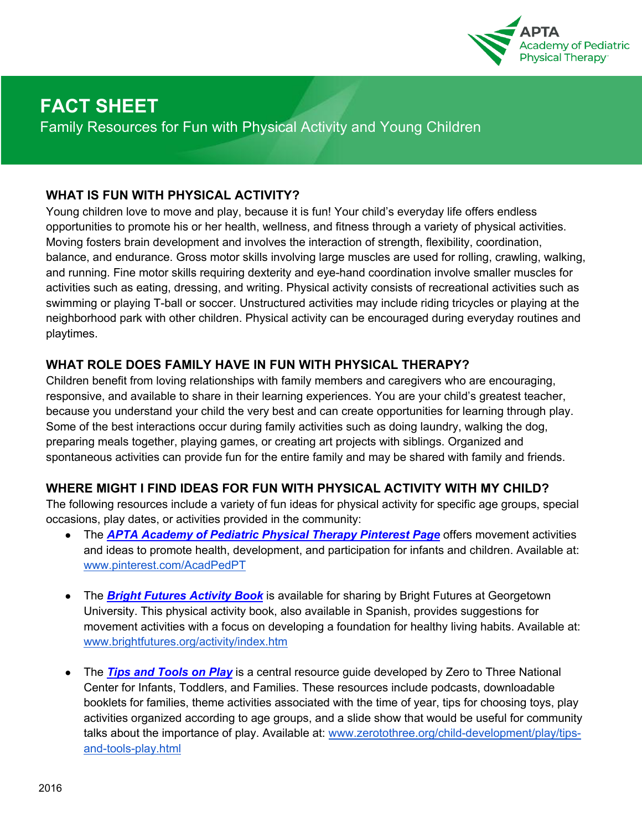

# **FACT SHEET**

Family Resources for Fun with Physical Activity and Young Children

### **WHAT IS FUN WITH PHYSICAL ACTIVITY?**

Young children love to move and play, because it is fun! Your child's everyday life offers endless opportunities to promote his or her health, wellness, and fitness through a variety of physical activities. Moving fosters brain development and involves the interaction of strength, flexibility, coordination, balance, and endurance. Gross motor skills involving large muscles are used for rolling, crawling, walking, and running. Fine motor skills requiring dexterity and eye-hand coordination involve smaller muscles for activities such as eating, dressing, and writing. Physical activity consists of recreational activities such as swimming or playing T-ball or soccer. Unstructured activities may include riding tricycles or playing at the neighborhood park with other children. Physical activity can be encouraged during everyday routines and playtimes.

### **WHAT ROLE DOES FAMILY HAVE IN FUN WITH PHYSICAL THERAPY?**

Children benefit from loving relationships with family members and caregivers who are encouraging, responsive, and available to share in their learning experiences. You are your child's greatest teacher, because you understand your child the very best and can create opportunities for learning through play. Some of the best interactions occur during family activities such as doing laundry, walking the dog, preparing meals together, playing games, or creating art projects with siblings. Organized and spontaneous activities can provide fun for the entire family and may be shared with family and friends.

### **WHERE MIGHT I FIND IDEAS FOR FUN WITH PHYSICAL ACTIVITY WITH MY CHILD?**

The following resources include a variety of fun ideas for physical activity for specific age groups, special occasions, play dates, or activities provided in the community:

- The *APTA Academy of Pediatric Physical Therapy Pinterest Page* offers movement activities and ideas to promote health, development, and participation for infants and children. Available at: www.pinterest.com/AcadPedPT
- The *Bright Futures Activity Book* is available for sharing by Bright Futures at Georgetown University. This physical activity book, also available in Spanish, provides suggestions for movement activities with a focus on developing a foundation for healthy living habits. Available at: www.brightfutures.org/activity/index.htm
- The **Tips and Tools on Play** is a central resource guide developed by Zero to Three National Center for Infants, Toddlers, and Families. These resources include podcasts, downloadable booklets for families, theme activities associated with the time of year, tips for choosing toys, play activities organized according to age groups, and a slide show that would be useful for community talks about the importance of play. Available at: www.zerotothree.org/child-development/play/tipsand-tools-play.html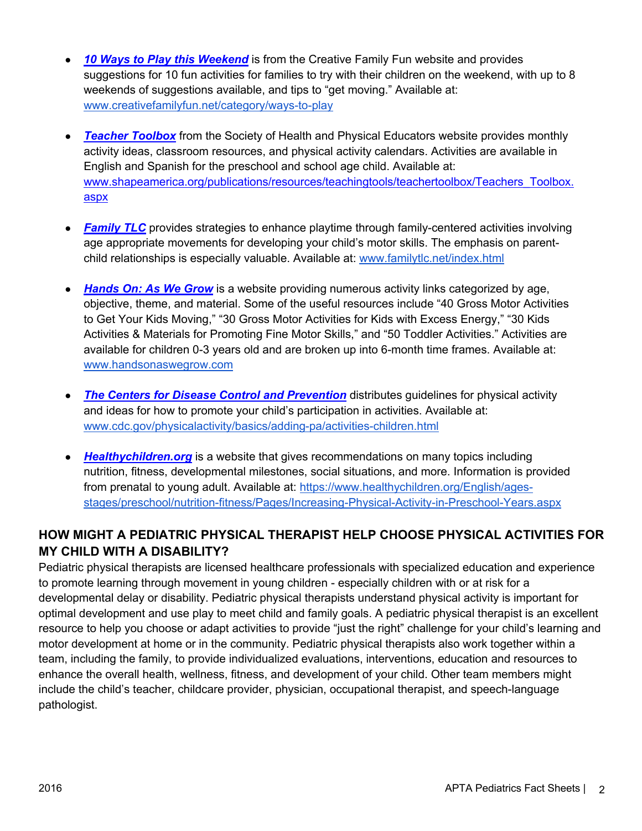- *10 Ways to Play this Weekend* is from the Creative Family Fun website and provides suggestions for 10 fun activities for families to try with their children on the weekend, with up to 8 weekends of suggestions available, and tips to "get moving." Available at: www.creativefamilyfun.net/category/ways-to-play
- *Teacher Toolbox* from the Society of Health and Physical Educators website provides monthly activity ideas, classroom resources, and physical activity calendars. Activities are available in English and Spanish for the preschool and school age child. Available at: www.shapeamerica.org/publications/resources/teachingtools/teachertoolbox/Teachers\_Toolbox. aspx
- *Family TLC* provides strategies to enhance playtime through family-centered activities involving age appropriate movements for developing your child's motor skills. The emphasis on parentchild relationships is especially valuable. Available at: www.familytlc.net/index.html
- **Hands On: As We Grow** is a website providing numerous activity links categorized by age, objective, theme, and material. Some of the useful resources include "40 Gross Motor Activities to Get Your Kids Moving," "30 Gross Motor Activities for Kids with Excess Energy," "30 Kids Activities & Materials for Promoting Fine Motor Skills," and "50 Toddler Activities." Activities are available for children 0-3 years old and are broken up into 6-month time frames. Available at: www.handsonaswegrow.com
- **The Centers for Disease Control and Prevention** distributes guidelines for physical activity and ideas for how to promote your child's participation in activities. Available at: www.cdc.gov/physicalactivity/basics/adding-pa/activities-children.html
- *Healthychildren.org* is a website that gives recommendations on many topics including nutrition, fitness, developmental milestones, social situations, and more. Information is provided from prenatal to young adult. Available at: https://www.healthychildren.org/English/agesstages/preschool/nutrition-fitness/Pages/Increasing-Physical-Activity-in-Preschool-Years.aspx

## **HOW MIGHT A PEDIATRIC PHYSICAL THERAPIST HELP CHOOSE PHYSICAL ACTIVITIES FOR MY CHILD WITH A DISABILITY?**

Pediatric physical therapists are licensed healthcare professionals with specialized education and experience to promote learning through movement in young children - especially children with or at risk for a developmental delay or disability. Pediatric physical therapists understand physical activity is important for optimal development and use play to meet child and family goals. A pediatric physical therapist is an excellent resource to help you choose or adapt activities to provide "just the right" challenge for your child's learning and motor development at home or in the community. Pediatric physical therapists also work together within a team, including the family, to provide individualized evaluations, interventions, education and resources to enhance the overall health, wellness, fitness, and development of your child. Other team members might include the child's teacher, childcare provider, physician, occupational therapist, and speech-language pathologist.